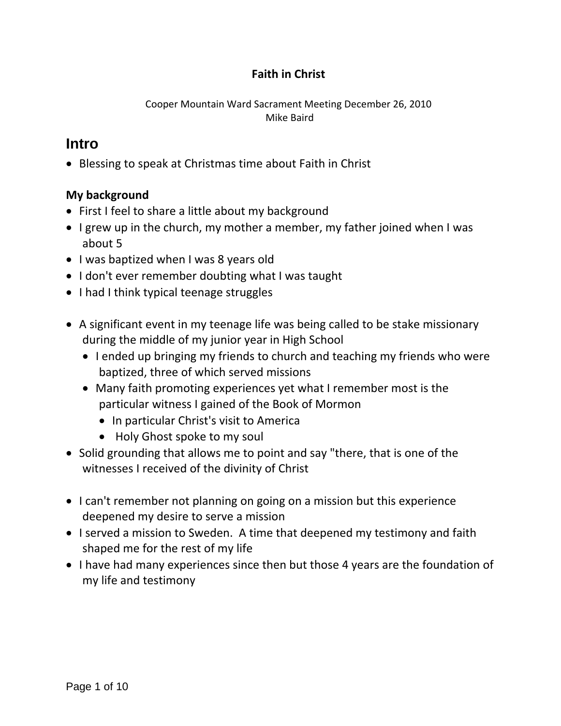### **Faith in Christ**

Cooper Mountain Ward Sacrament Meeting December 26, 2010 Mike Baird

### **Intro**

Blessing to speak at Christmas time about Faith in Christ

#### **My background**

- First I feel to share a little about my background
- I grew up in the church, my mother a member, my father joined when I was about 5
- I was baptized when I was 8 years old
- I don't ever remember doubting what I was taught
- I had I think typical teenage struggles
- A significant event in my teenage life was being called to be stake missionary during the middle of my junior year in High School
	- I ended up bringing my friends to church and teaching my friends who were baptized, three of which served missions
	- Many faith promoting experiences yet what I remember most is the particular witness I gained of the Book of Mormon
		- In particular Christ's visit to America
		- Holy Ghost spoke to my soul
- Solid grounding that allows me to point and say "there, that is one of the witnesses I received of the divinity of Christ
- I can't remember not planning on going on a mission but this experience deepened my desire to serve a mission
- I served a mission to Sweden. A time that deepened my testimony and faith shaped me for the rest of my life
- I have had many experiences since then but those 4 years are the foundation of my life and testimony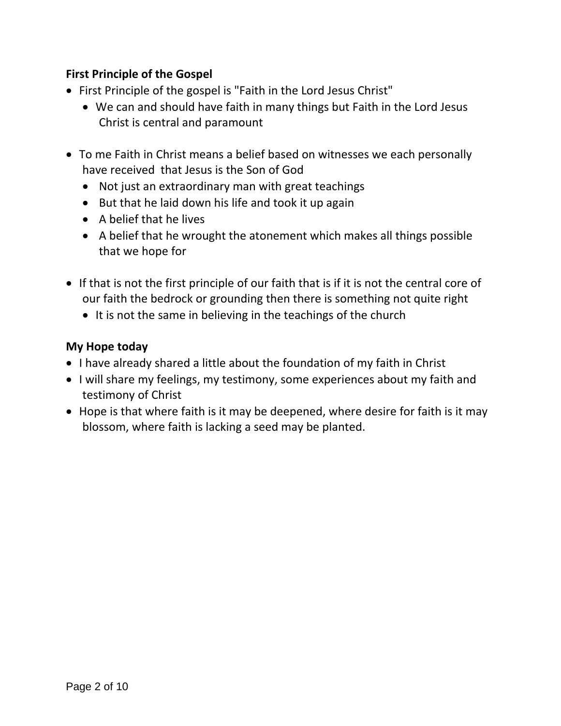#### **First Principle of the Gospel**

- First Principle of the gospel is "Faith in the Lord Jesus Christ"
	- We can and should have faith in many things but Faith in the Lord Jesus Christ is central and paramount
- To me Faith in Christ means a belief based on witnesses we each personally have received that Jesus is the Son of God
	- Not just an extraordinary man with great teachings
	- But that he laid down his life and took it up again
	- $\bullet$  A belief that he lives
	- A belief that he wrought the atonement which makes all things possible that we hope for
- If that is not the first principle of our faith that is if it is not the central core of our faith the bedrock or grounding then there is something not quite right
	- $\bullet$  It is not the same in believing in the teachings of the church

#### **My Hope today**

- I have already shared a little about the foundation of my faith in Christ
- I will share my feelings, my testimony, some experiences about my faith and testimony of Christ
- Hope is that where faith is it may be deepened, where desire for faith is it may blossom, where faith is lacking a seed may be planted.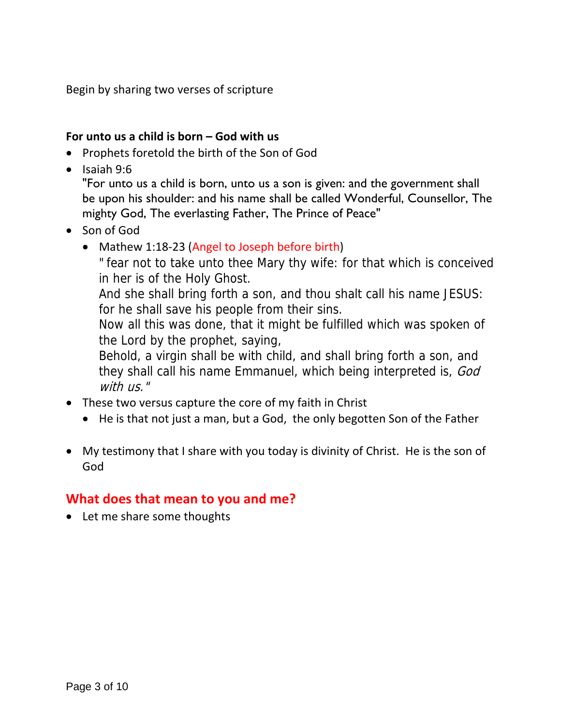Begin by sharing two verses of scripture

#### **For unto us a child is born – God with us**

- Prophets foretold the birth of the Son of God
- $\bullet$  Isaiah 9:6

"For unto us a child is born, unto us a son is given: and the government shall be upon his shoulder: and his name shall be called Wonderful, Counsellor, The mighty God, The everlasting Father, The Prince of Peace"

- Son of God
	- Mathew 1:18-23 (Angel to Joseph before birth)
		- " fear not to take unto thee Mary thy wife: for that which is conceived in her is of the Holy Ghost.

And she shall bring forth a son, and thou shalt call his name JESUS: for he shall save his people from their sins.

Now all this was done, that it might be fulfilled which was spoken of the Lord by the prophet, saying,

Behold, a virgin shall be with child, and shall bring forth a son, and they shall call his name Emmanuel, which being interpreted is, God with us."

- These two versus capture the core of my faith in Christ
	- He is that not just a man, but a God, the only begotten Son of the Father
- My testimony that I share with you today is divinity of Christ. He is the son of God

### **What does that mean to you and me?**

• Let me share some thoughts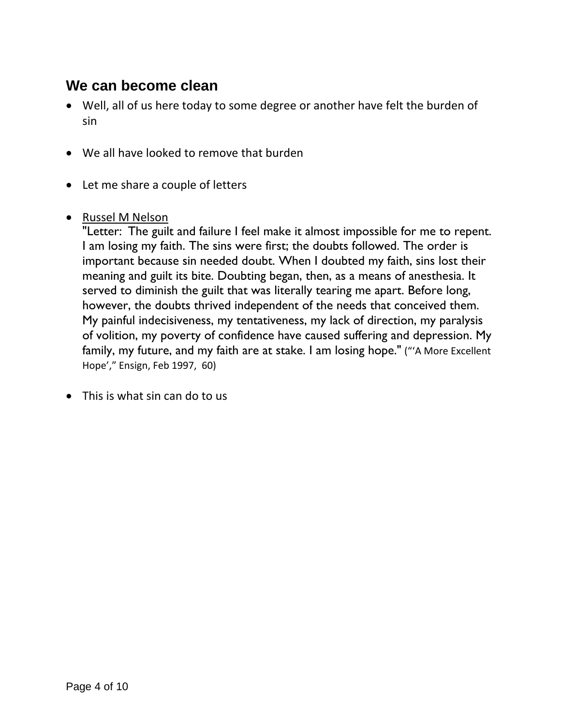## **We can become clean**

- Well, all of us here today to some degree or another have felt the burden of sin
- We all have looked to remove that burden
- Let me share a couple of letters
- Russel M Nelson

"Letter: The guilt and failure I feel make it almost impossible for me to repent. I am losing my faith. The sins were first; the doubts followed. The order is important because sin needed doubt. When I doubted my faith, sins lost their meaning and guilt its bite. Doubting began, then, as a means of anesthesia. It served to diminish the guilt that was literally tearing me apart. Before long, however, the doubts thrived independent of the needs that conceived them. My painful indecisiveness, my tentativeness, my lack of direction, my paralysis of volition, my poverty of confidence have caused suffering and depression. My family, my future, and my faith are at stake. I am losing hope." ("'A More Excellent Hope'," Ensign, Feb 1997, 60)

• This is what sin can do to us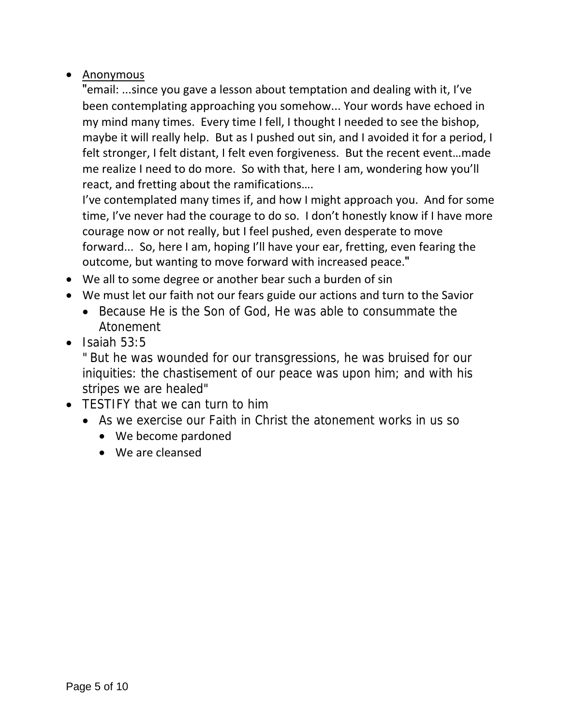#### • Anonymous

"email: ...since you gave a lesson about temptation and dealing with it, I've been contemplating approaching you somehow... Your words have echoed in my mind many times. Every time I fell, I thought I needed to see the bishop, maybe it will really help. But as I pushed out sin, and I avoided it for a period, I felt stronger, I felt distant, I felt even forgiveness. But the recent event…made me realize I need to do more. So with that, here I am, wondering how you'll react, and fretting about the ramifications….

I've contemplated many times if, and how I might approach you. And for some time, I've never had the courage to do so. I don't honestly know if I have more courage now or not really, but I feel pushed, even desperate to move forward... So, here I am, hoping I'll have your ear, fretting, even fearing the outcome, but wanting to move forward with increased peace."

- We all to some degree or another bear such a burden of sin
- We must let our faith not our fears guide our actions and turn to the Savior
	- Because He is the Son of God, He was able to consummate the Atonement
- $\bullet$  Isaiah 53:5

" But he was wounded for our transgressions, he was bruised for our iniquities: the chastisement of our peace was upon him; and with his stripes we are healed"

- TESTIFY that we can turn to him
	- As we exercise our Faith in Christ the atonement works in us so
		- We become pardoned
		- We are cleansed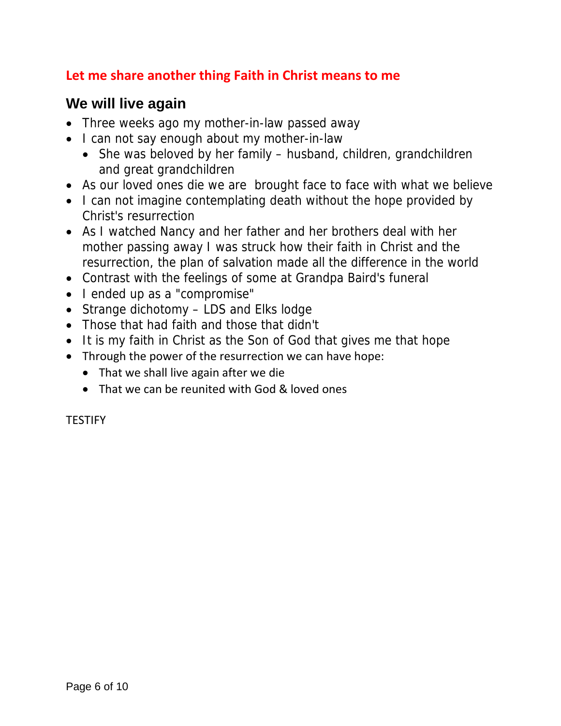## **Let me share another thing Faith in Christ means to me**

## **We will live again**

- Three weeks ago my mother-in-law passed away
- I can not say enough about my mother-in-law
	- She was beloved by her family husband, children, grandchildren and great grandchildren
- As our loved ones die we are brought face to face with what we believe
- I can not imagine contemplating death without the hope provided by Christ's resurrection
- As I watched Nancy and her father and her brothers deal with her mother passing away I was struck how their faith in Christ and the resurrection, the plan of salvation made all the difference in the world
- Contrast with the feelings of some at Grandpa Baird's funeral
- I ended up as a "compromise"
- Strange dichotomy LDS and Elks lodge
- Those that had faith and those that didn't
- It is my faith in Christ as the Son of God that gives me that hope
- Through the power of the resurrection we can have hope:
	- That we shall live again after we die
	- That we can be reunited with God & loved ones

**TESTIFY**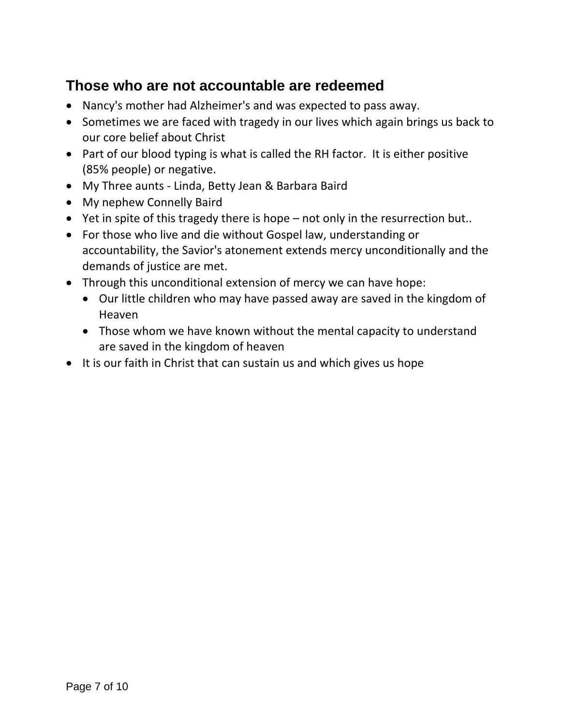## **Those who are not accountable are redeemed**

- Nancy's mother had Alzheimer's and was expected to pass away.
- Sometimes we are faced with tragedy in our lives which again brings us back to our core belief about Christ
- Part of our blood typing is what is called the RH factor. It is either positive (85% people) or negative.
- My Three aunts Linda, Betty Jean & Barbara Baird
- My nephew Connelly Baird
- Yet in spite of this tragedy there is hope not only in the resurrection but..
- For those who live and die without Gospel law, understanding or accountability, the Savior's atonement extends mercy unconditionally and the demands of justice are met.
- Through this unconditional extension of mercy we can have hope:
	- Our little children who may have passed away are saved in the kingdom of Heaven
	- Those whom we have known without the mental capacity to understand are saved in the kingdom of heaven
- It is our faith in Christ that can sustain us and which gives us hope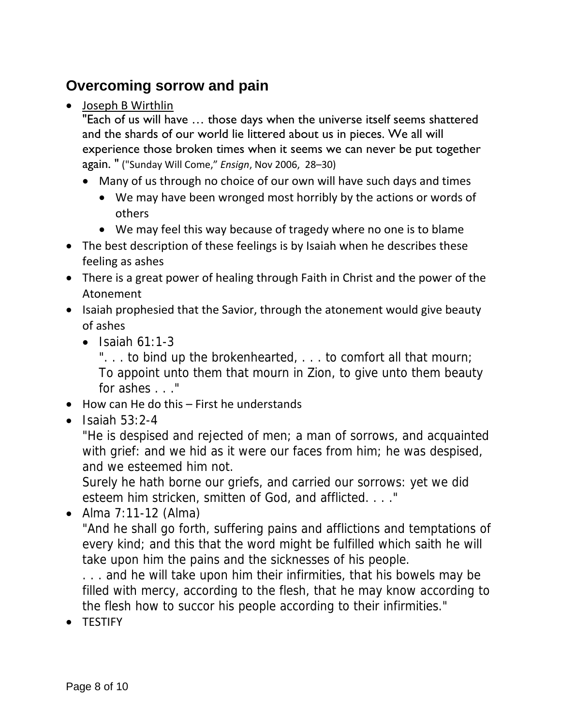# **Overcoming sorrow and pain**

• Joseph B Wirthlin

"Each of us will have … those days when the universe itself seems shattered and the shards of our world lie littered about us in pieces. We all will experience those broken times when it seems we can never be put together again. " ("Sunday Will Come," *Ensign*, Nov 2006, 28–30)

- Many of us through no choice of our own will have such days and times
	- We may have been wronged most horribly by the actions or words of others
	- We may feel this way because of tragedy where no one is to blame
- The best description of these feelings is by Isaiah when he describes these feeling as ashes
- There is a great power of healing through Faith in Christ and the power of the Atonement
- Isaiah prophesied that the Savior, through the atonement would give beauty of ashes
	- $\bullet$  Isaiah 61:1-3

"... to bind up the brokenhearted, ... to comfort all that mourn; To appoint unto them that mourn in Zion, to give unto them beauty for ashes . . ."

- $\bullet$  How can He do this First he understands
- $\bullet$  Isaiah 53:2-4

"He is despised and rejected of men; a man of sorrows, and acquainted with grief: and we hid as it were our faces from him; he was despised, and we esteemed him not.

Surely he hath borne our griefs, and carried our sorrows: yet we did esteem him stricken, smitten of God, and afflicted. . . ."

 Alma 7:11-12 (Alma) "And he shall go forth, suffering pains and afflictions and temptations of every kind; and this that the word might be fulfilled which saith he will

take upon him the pains and the sicknesses of his people.

. . . and he will take upon him their infirmities, that his bowels may be filled with mercy, according to the flesh, that he may know according to the flesh how to succor his people according to their infirmities."

• TESTIFY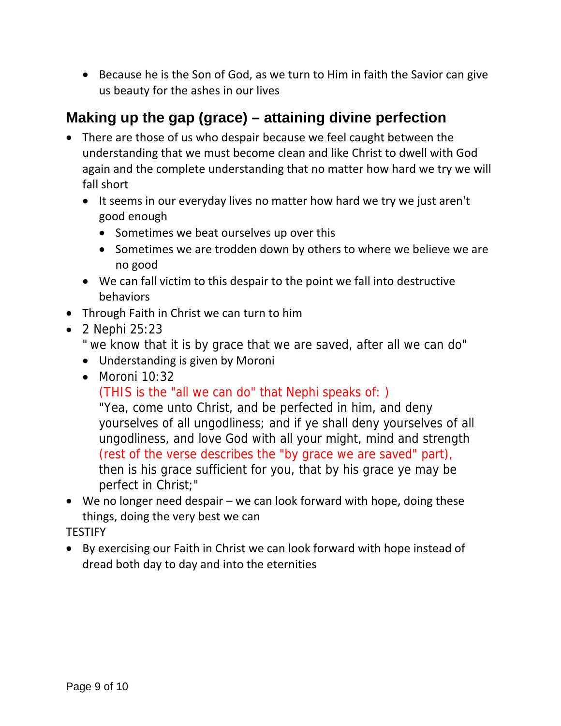• Because he is the Son of God, as we turn to Him in faith the Savior can give us beauty for the ashes in our lives

# **Making up the gap (grace) – attaining divine perfection**

- There are those of us who despair because we feel caught between the understanding that we must become clean and like Christ to dwell with God again and the complete understanding that no matter how hard we try we will fall short
	- It seems in our everyday lives no matter how hard we try we just aren't good enough
		- Sometimes we beat ourselves up over this
		- Sometimes we are trodden down by others to where we believe we are no good
	- We can fall victim to this despair to the point we fall into destructive behaviors
- Through Faith in Christ we can turn to him
- 2 Nephi 25:23

" we know that it is by grace that we are saved, after all we can do"

- Understanding is given by Moroni
- Moroni 10:32

(THIS is the "all we can do" that Nephi speaks of: )

"Yea, come unto Christ, and be perfected in him, and deny yourselves of all ungodliness; and if ye shall deny yourselves of all ungodliness, and love God with all your might, mind and strength (rest of the verse describes the "by grace we are saved" part), then is his grace sufficient for you, that by his grace ye may be perfect in Christ;"

 We no longer need despair – we can look forward with hope, doing these things, doing the very best we can

**TESTIFY** 

 By exercising our Faith in Christ we can look forward with hope instead of dread both day to day and into the eternities